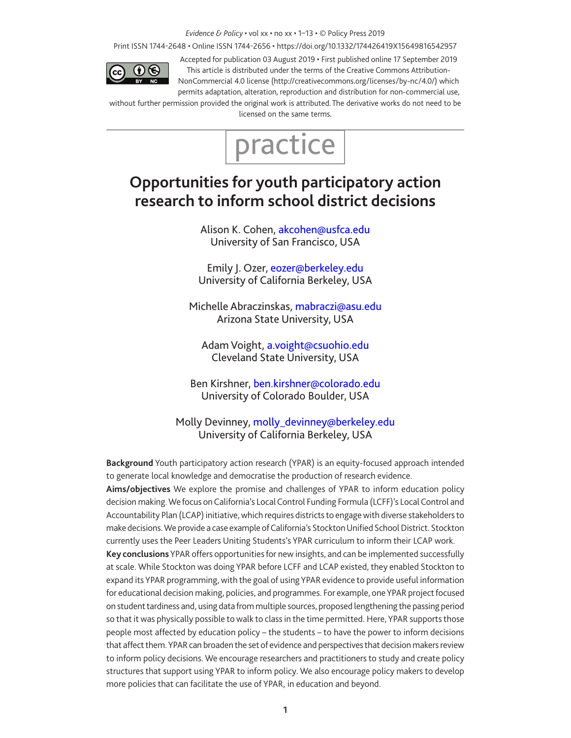#### *Evidence & Policy* • vol xx • no xx • 1–13 • © Policy Press 2019

Print ISSN 1744-2648 • Online ISSN 1744-2656 • https://doi.org/10.1332/174426419X15649816542957



Accepted for publication 03 August 2019 • First published online 17 September 2019 This article is distributed under the terms of the Creative Commons Attribution-NonCommercial 4.0 license (http://creativecommons.org/licenses/by-nc/4.0/) which

permits adaptation, alteration, reproduction and distribution for non-commercial use, without further permission provided the original work is attributed. The derivative works do not need to be licensed on the same terms.



# **Opportunities for youth participatory action research to inform school district decisions**

Alison K. Cohen, akcohen@usfca.edu University of San Francisco, USA

Emily J. Ozer, eozer@berkeley.edu University of California Berkeley, USA

Michelle Abraczinskas, mabraczi@asu.edu Arizona State University, USA

Adam Voight, a.voight@csuohio.edu Cleveland State University, USA

Ben Kirshner, ben.kirshner@colorado.edu University of Colorado Boulder, USA

Molly Devinney, molly\_devinney@berkeley.edu University of California Berkeley, USA

**Background** Youth participatory action research (YPAR) is an equity-focused approach intended to generate local knowledge and democratise the production of research evidence.

**Aims/objectives** We explore the promise and challenges of YPAR to inform education policy decision making. We focus on California's Local Control Funding Formula (LCFF)'s Local Control and Accountability Plan (LCAP) initiative, which requires districts to engage with diverse stakeholders to make decisions. We provide a case example of California's Stockton Unified School District. Stockton currently uses the Peer Leaders Uniting Students's YPAR curriculum to inform their LCAP work.

**Key conclusions** YPAR offers opportunities for new insights, and can be implemented successfully at scale. While Stockton was doing YPAR before LCFF and LCAP existed, they enabled Stockton to expand its YPAR programming, with the goal of using YPAR evidence to provide useful information for educational decision making, policies, and programmes. For example, one YPAR project focused on student tardiness and, using data from multiple sources, proposed lengthening the passing period so that it was physically possible to walk to class in the time permitted. Here, YPAR supports those people most affected by education policy – the students – to have the power to inform decisions that affect them. YPAR can broaden the set of evidence and perspectives that decision makers review to inform policy decisions. We encourage researchers and practitioners to study and create policy structures that support using YPAR to inform policy. We also encourage policy makers to develop more policies that can facilitate the use of YPAR, in education and beyond.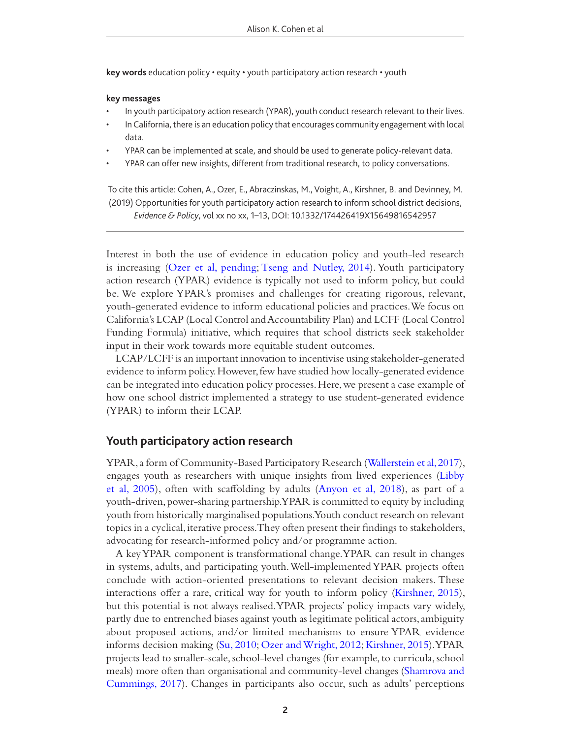**key words** education policy • equity • youth participatory action research • youth

#### **key messages**

- In youth participatory action research (YPAR), youth conduct research relevant to their lives.
- In California, there is an education policy that encourages community engagement with local data.
- YPAR can be implemented at scale, and should be used to generate policy-relevant data.
- YPAR can offer new insights, different from traditional research, to policy conversations.

To cite this article: Cohen, A., Ozer, E., Abraczinskas, M., Voight, A., Kirshner, B. and Devinney, M. (2019) Opportunities for youth participatory action research to inform school district decisions, *Evidence & Policy*, vol xx no xx, 1–13, DOI: 10.1332/174426419X15649816542957

Interest in both the use of evidence in education policy and youth-led research is increasing (Ozer et al, pending; Tseng and Nutley, 2014). Youth participatory action research (YPAR) evidence is typically not used to inform policy, but could be. We explore YPAR's promises and challenges for creating rigorous, relevant, youth-generated evidence to inform educational policies and practices. We focus on California's LCAP (Local Control and Accountability Plan) and LCFF (Local Control Funding Formula) initiative, which requires that school districts seek stakeholder input in their work towards more equitable student outcomes.

LCAP/LCFF is an important innovation to incentivise using stakeholder-generated evidence to inform policy. However, few have studied how locally-generated evidence can be integrated into education policy processes. Here, we present a case example of how one school district implemented a strategy to use student-generated evidence (YPAR) to inform their LCAP.

# **Youth participatory action research**

YPAR, a form of Community-Based Participatory Research (Wallerstein et al, 2017), engages youth as researchers with unique insights from lived experiences (Libby et al, 2005), often with scafolding by adults (Anyon et al, 2018), as part of a youth-driven, power-sharing partnership. YPAR is committed to equity by including youth from historically marginalised populations. Youth conduct research on relevant topics in a cyclical, iterative process. They often present their fndings to stakeholders, advocating for research-informed policy and/or programme action.

A key YPAR component is transformational change. YPAR can result in changes in systems, adults, and participating youth. Well-implemented YPAR projects often conclude with action-oriented presentations to relevant decision makers. These interactions offer a rare, critical way for youth to inform policy (Kirshner, 2015), but this potential is not always realised. YPAR projects' policy impacts vary widely, partly due to entrenched biases against youth as legitimate political actors, ambiguity about proposed actions, and/or limited mechanisms to ensure YPAR evidence informs decision making (Su, 2010; Ozer and Wright, 2012; Kirshner, 2015). YPAR projects lead to smaller-scale, school-level changes (for example, to curricula, school meals) more often than organisational and community-level changes (Shamrova and Cummings, 2017). Changes in participants also occur, such as adults' perceptions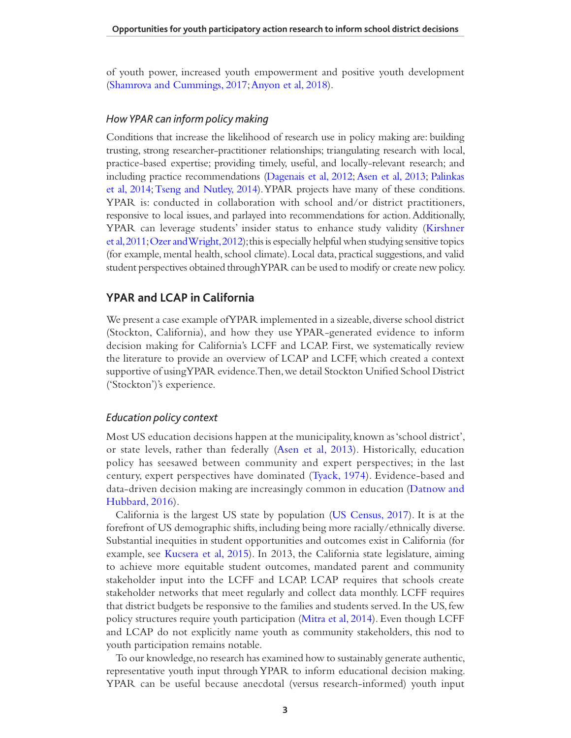of youth power, increased youth empowerment and positive youth development (Shamrova and Cummings, 2017; Anyon et al, 2018).

## *How YPAR can inform policy making*

Conditions that increase the likelihood of research use in policy making are: building trusting, strong researcher-practitioner relationships; triangulating research with local, practice-based expertise; providing timely, useful, and locally-relevant research; and including practice recommendations (Dagenais et al, 2012; Asen et al, 2013; Palinkas et al, 2014; Tseng and Nutley, 2014). YPAR projects have many of these conditions. YPAR is: conducted in collaboration with school and/or district practitioners, responsive to local issues, and parlayed into recommendations for action. Additionally, YPAR can leverage students' insider status to enhance study validity (Kirshner et al, 2011; Ozer and Wright, 2012); this is especially helpful when studying sensitive topics (for example, mental health, school climate). Local data, practical suggestions, and valid student perspectives obtained through YPAR can be used to modify or create new policy.

# **YPAR and LCAP in California**

We present a case example of YPAR implemented in a sizeable, diverse school district (Stockton, California), and how they use YPAR-generated evidence to inform decision making for California's LCFF and LCAP. First, we systematically review the literature to provide an overview of LCAP and LCFF, which created a context supportive of using YPAR evidence. Then, we detail Stockton Unifed School District ('Stockton')'s experience.

## *Education policy context*

Most US education decisions happen at the municipality, known as 'school district', or state levels, rather than federally (Asen et al, 2013). Historically, education policy has seesawed between community and expert perspectives; in the last century, expert perspectives have dominated (Tyack, 1974). Evidence-based and data-driven decision making are increasingly common in education (Datnow and Hubbard, 2016).

California is the largest US state by population (US Census, 2017). It is at the forefront of US demographic shifts, including being more racially/ethnically diverse. Substantial inequities in student opportunities and outcomes exist in California (for example, see Kucsera et al, 2015). In 2013, the California state legislature, aiming to achieve more equitable student outcomes, mandated parent and community stakeholder input into the LCFF and LCAP. LCAP requires that schools create stakeholder networks that meet regularly and collect data monthly. LCFF requires that district budgets be responsive to the families and students served. In the US, few policy structures require youth participation (Mitra et al, 2014). Even though LCFF and LCAP do not explicitly name youth as community stakeholders, this nod to youth participation remains notable.

To our knowledge, no research has examined how to sustainably generate authentic, representative youth input through YPAR to inform educational decision making. YPAR can be useful because anecdotal (versus research-informed) youth input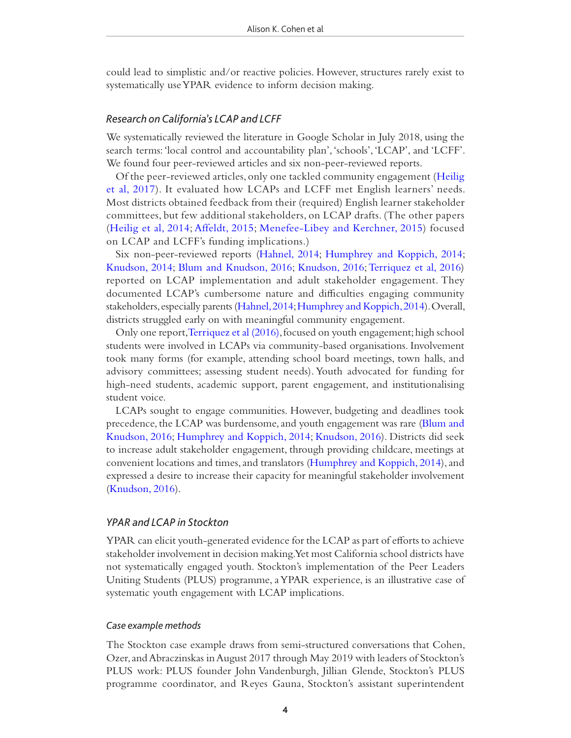could lead to simplistic and/or reactive policies. However, structures rarely exist to systematically use YPAR evidence to inform decision making.

#### *Research on California's LCAP and LCFF*

We systematically reviewed the literature in Google Scholar in July 2018, using the search terms: 'local control and accountability plan', 'schools', 'LCAP', and 'LCFF'. We found four peer-reviewed articles and six non-peer-reviewed reports.

Of the peer-reviewed articles, only one tackled community engagement (Heilig et al, 2017). It evaluated how LCAPs and LCFF met English learners' needs. Most districts obtained feedback from their (required) English learner stakeholder committees, but few additional stakeholders, on LCAP drafts. (The other papers (Heilig et al, 2014; Affeldt, 2015; Menefee-Libey and Kerchner, 2015) focused on LCAP and LCFF's funding implications.)

Six non-peer-reviewed reports (Hahnel, 2014; Humphrey and Koppich, 2014; Knudson, 2014; Blum and Knudson, 2016; Knudson, 2016; Terriquez et al, 2016) reported on LCAP implementation and adult stakeholder engagement. They documented LCAP's cumbersome nature and difficulties engaging community stakeholders, especially parents (Hahnel, 2014; Humphrey and Koppich, 2014). Overall, districts struggled early on with meaningful community engagement.

Only one report, Terriquez et al (2016), focused on youth engagement; high school students were involved in LCAPs via community-based organisations. Involvement took many forms (for example, attending school board meetings, town halls, and advisory committees; assessing student needs). Youth advocated for funding for high-need students, academic support, parent engagement, and institutionalising student voice.

LCAPs sought to engage communities. However, budgeting and deadlines took precedence, the LCAP was burdensome, and youth engagement was rare (Blum and Knudson, 2016; Humphrey and Koppich, 2014; Knudson, 2016). Districts did seek to increase adult stakeholder engagement, through providing childcare, meetings at convenient locations and times, and translators (Humphrey and Koppich, 2014), and expressed a desire to increase their capacity for meaningful stakeholder involvement (Knudson, 2016).

# *YPAR and LCAP in Stockton*

YPAR can elicit youth-generated evidence for the LCAP as part of eforts to achieve stakeholder involvement in decision making. Yet most California school districts have not systematically engaged youth. Stockton's implementation of the Peer Leaders Uniting Students (PLUS) programme, a YPAR experience, is an illustrative case of systematic youth engagement with LCAP implications.

## *Case example methods*

The Stockton case example draws from semi-structured conversations that Cohen, Ozer, and Abraczinskas in August 2017 through May 2019 with leaders of Stockton's PLUS work: PLUS founder John Vandenburgh, Jillian Glende, Stockton's PLUS programme coordinator, and Reyes Gauna, Stockton's assistant superintendent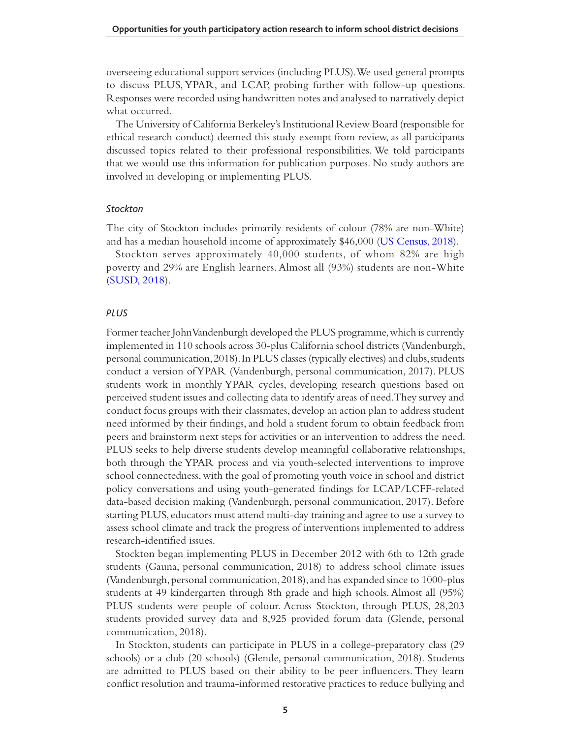overseeing educational support services (including PLUS). We used general prompts to discuss PLUS, YPAR, and LCAP, probing further with follow-up questions. Responses were recorded using handwritten notes and analysed to narratively depict what occurred.

The University of California Berkeley's Institutional Review Board (responsible for ethical research conduct) deemed this study exempt from review, as all participants discussed topics related to their professional responsibilities. We told participants that we would use this information for publication purposes. No study authors are involved in developing or implementing PLUS.

## *Stockton*

The city of Stockton includes primarily residents of colour (78% are non-White) and has a median household income of approximately \$46,000 (US Census, 2018).

Stockton serves approximately 40,000 students, of whom 82% are high poverty and 29% are English learners. Almost all (93%) students are non-White (SUSD, 2018).

# *PLUS*

Former teacher John Vandenburgh developed the PLUS programme, which is currently implemented in 110 schools across 30-plus California school districts (Vandenburgh, personal communication, 2018). In PLUS classes (typically electives) and clubs, students conduct a version of YPAR (Vandenburgh, personal communication, 2017). PLUS students work in monthly YPAR cycles, developing research questions based on perceived student issues and collecting data to identify areas of need. They survey and conduct focus groups with their classmates, develop an action plan to address student need informed by their fndings, and hold a student forum to obtain feedback from peers and brainstorm next steps for activities or an intervention to address the need. PLUS seeks to help diverse students develop meaningful collaborative relationships, both through the YPAR process and via youth-selected interventions to improve school connectedness, with the goal of promoting youth voice in school and district policy conversations and using youth-generated fndings for LCAP/LCFF-related data-based decision making (Vandenburgh, personal communication, 2017). Before starting PLUS, educators must attend multi-day training and agree to use a survey to assess school climate and track the progress of interventions implemented to address research-identifed issues.

Stockton began implementing PLUS in December 2012 with 6th to 12th grade students (Gauna, personal communication, 2018) to address school climate issues (Vandenburgh, personal communication, 2018), and has expanded since to 1000-plus students at 49 kindergarten through 8th grade and high schools. Almost all (95%) PLUS students were people of colour. Across Stockton, through PLUS, 28,203 students provided survey data and 8,925 provided forum data (Glende, personal communication, 2018).

In Stockton, students can participate in PLUS in a college-preparatory class (29 schools) or a club (20 schools) (Glende, personal communication, 2018). Students are admitted to PLUS based on their ability to be peer infuencers. They learn confict resolution and trauma-informed restorative practices to reduce bullying and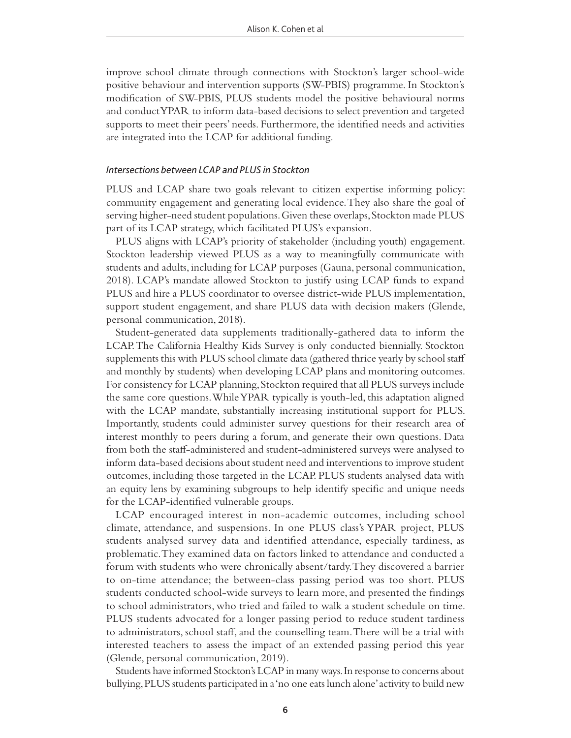improve school climate through connections with Stockton's larger school-wide positive behaviour and intervention supports (SW-PBIS) programme. In Stockton's modifcation of SW-PBIS, PLUS students model the positive behavioural norms and conduct YPAR to inform data-based decisions to select prevention and targeted supports to meet their peers' needs. Furthermore, the identifed needs and activities are integrated into the LCAP for additional funding.

#### *Intersections between LCAP and PLUS in Stockton*

PLUS and LCAP share two goals relevant to citizen expertise informing policy: community engagement and generating local evidence. They also share the goal of serving higher-need student populations. Given these overlaps, Stockton made PLUS part of its LCAP strategy, which facilitated PLUS's expansion.

PLUS aligns with LCAP's priority of stakeholder (including youth) engagement. Stockton leadership viewed PLUS as a way to meaningfully communicate with students and adults, including for LCAP purposes (Gauna, personal communication, 2018). LCAP's mandate allowed Stockton to justify using LCAP funds to expand PLUS and hire a PLUS coordinator to oversee district-wide PLUS implementation, support student engagement, and share PLUS data with decision makers (Glende, personal communication, 2018).

Student-generated data supplements traditionally-gathered data to inform the LCAP. The California Healthy Kids Survey is only conducted biennially. Stockton supplements this with PLUS school climate data (gathered thrice yearly by school staf and monthly by students) when developing LCAP plans and monitoring outcomes. For consistency for LCAP planning, Stockton required that all PLUS surveys include the same core questions. While YPAR typically is youth-led, this adaptation aligned with the LCAP mandate, substantially increasing institutional support for PLUS. Importantly, students could administer survey questions for their research area of interest monthly to peers during a forum, and generate their own questions. Data from both the staf-administered and student-administered surveys were analysed to inform data-based decisions about student need and interventions to improve student outcomes, including those targeted in the LCAP. PLUS students analysed data with an equity lens by examining subgroups to help identify specifc and unique needs for the LCAP-identifed vulnerable groups.

LCAP encouraged interest in non-academic outcomes, including school climate, attendance, and suspensions. In one PLUS class's YPAR project, PLUS students analysed survey data and identifed attendance, especially tardiness, as problematic. They examined data on factors linked to attendance and conducted a forum with students who were chronically absent/tardy. They discovered a barrier to on-time attendance; the between-class passing period was too short. PLUS students conducted school-wide surveys to learn more, and presented the fndings to school administrators, who tried and failed to walk a student schedule on time. PLUS students advocated for a longer passing period to reduce student tardiness to administrators, school staf, and the counselling team. There will be a trial with interested teachers to assess the impact of an extended passing period this year (Glende, personal communication, 2019).

Students have informed Stockton's LCAP in many ways. In response to concerns about bullying, PLUS students participated in a 'no one eats lunch alone' activity to build new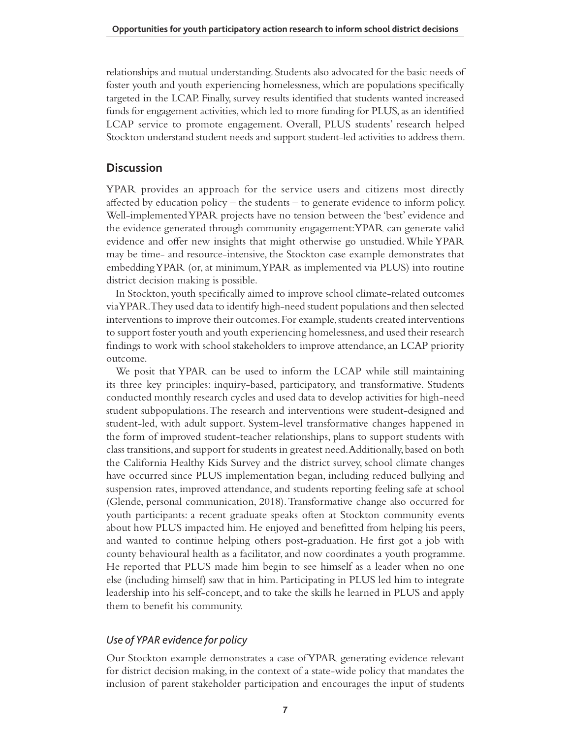relationships and mutual understanding. Students also advocated for the basic needs of foster youth and youth experiencing homelessness, which are populations specifcally targeted in the LCAP. Finally, survey results identifed that students wanted increased funds for engagement activities, which led to more funding for PLUS, as an identifed LCAP service to promote engagement. Overall, PLUS students' research helped Stockton understand student needs and support student-led activities to address them.

# **Discussion**

YPAR provides an approach for the service users and citizens most directly afected by education policy – the students – to generate evidence to inform policy. Well-implemented YPAR projects have no tension between the 'best' evidence and the evidence generated through community engagement: YPAR can generate valid evidence and offer new insights that might otherwise go unstudied. While YPAR may be time- and resource-intensive, the Stockton case example demonstrates that embedding YPAR (or, at minimum, YPAR as implemented via PLUS) into routine district decision making is possible.

In Stockton, youth specifcally aimed to improve school climate-related outcomes via YPAR. They used data to identify high-need student populations and then selected interventions to improve their outcomes. For example, students created interventions to support foster youth and youth experiencing homelessness, and used their research fndings to work with school stakeholders to improve attendance, an LCAP priority outcome.

We posit that YPAR can be used to inform the LCAP while still maintaining its three key principles: inquiry-based, participatory, and transformative. Students conducted monthly research cycles and used data to develop activities for high-need student subpopulations. The research and interventions were student-designed and student-led, with adult support. System-level transformative changes happened in the form of improved student-teacher relationships, plans to support students with class transitions, and support for students in greatest need. Additionally, based on both the California Healthy Kids Survey and the district survey, school climate changes have occurred since PLUS implementation began, including reduced bullying and suspension rates, improved attendance, and students reporting feeling safe at school (Glende, personal communication, 2018). Transformative change also occurred for youth participants: a recent graduate speaks often at Stockton community events about how PLUS impacted him. He enjoyed and beneftted from helping his peers, and wanted to continue helping others post-graduation. He frst got a job with county behavioural health as a facilitator, and now coordinates a youth programme. He reported that PLUS made him begin to see himself as a leader when no one else (including himself) saw that in him. Participating in PLUS led him to integrate leadership into his self-concept, and to take the skills he learned in PLUS and apply them to beneft his community.

# *Use of YPAR evidence for policy*

Our Stockton example demonstrates a case of YPAR generating evidence relevant for district decision making, in the context of a state-wide policy that mandates the inclusion of parent stakeholder participation and encourages the input of students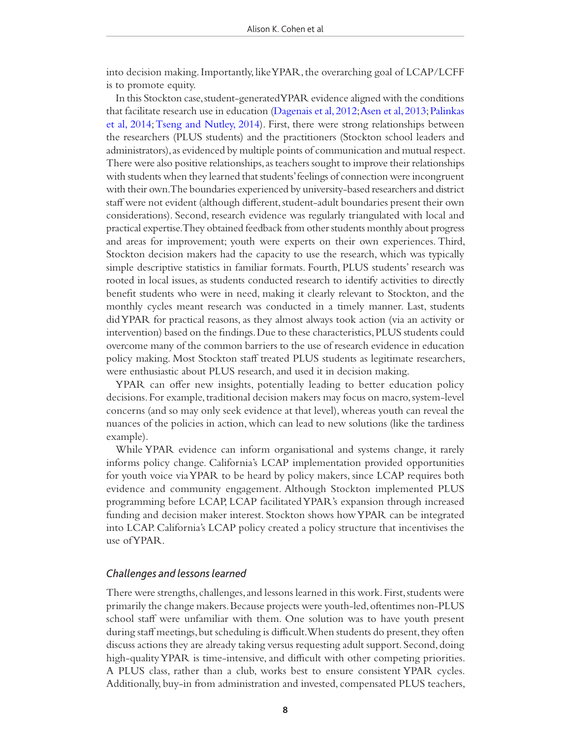into decision making. Importantly, like YPAR, the overarching goal of LCAP/LCFF is to promote equity.

In this Stockton case, student-generated YPAR evidence aligned with the conditions that facilitate research use in education (Dagenais et al, 2012; Asen et al, 2013; Palinkas et al, 2014; Tseng and Nutley, 2014). First, there were strong relationships between the researchers (PLUS students) and the practitioners (Stockton school leaders and administrators), as evidenced by multiple points of communication and mutual respect. There were also positive relationships, as teachers sought to improve their relationships with students when they learned that students' feelings of connection were incongruent with their own. The boundaries experienced by university-based researchers and district staf were not evident (although diferent, student-adult boundaries present their own considerations). Second, research evidence was regularly triangulated with local and practical expertise. They obtained feedback from other students monthly about progress and areas for improvement; youth were experts on their own experiences. Third, Stockton decision makers had the capacity to use the research, which was typically simple descriptive statistics in familiar formats. Fourth, PLUS students' research was rooted in local issues, as students conducted research to identify activities to directly beneft students who were in need, making it clearly relevant to Stockton, and the monthly cycles meant research was conducted in a timely manner. Last, students did YPAR for practical reasons, as they almost always took action (via an activity or intervention) based on the fndings. Due to these characteristics, PLUS students could overcome many of the common barriers to the use of research evidence in education policy making. Most Stockton staf treated PLUS students as legitimate researchers, were enthusiastic about PLUS research, and used it in decision making.

YPAR can offer new insights, potentially leading to better education policy decisions. For example, traditional decision makers may focus on macro, system-level concerns (and so may only seek evidence at that level), whereas youth can reveal the nuances of the policies in action, which can lead to new solutions (like the tardiness example).

While YPAR evidence can inform organisational and systems change, it rarely informs policy change. California's LCAP implementation provided opportunities for youth voice via YPAR to be heard by policy makers, since LCAP requires both evidence and community engagement. Although Stockton implemented PLUS programming before LCAP, LCAP facilitated YPAR's expansion through increased funding and decision maker interest. Stockton shows how YPAR can be integrated into LCAP. California's LCAP policy created a policy structure that incentivises the use of YPAR.

# *Challenges and lessons learned*

There were strengths, challenges, and lessons learned in this work. First, students were primarily the change makers. Because projects were youth-led, oftentimes non-PLUS school staf were unfamiliar with them. One solution was to have youth present during staff meetings, but scheduling is difficult. When students do present, they often discuss actions they are already taking versus requesting adult support. Second, doing high-quality YPAR is time-intensive, and difficult with other competing priorities. A PLUS class, rather than a club, works best to ensure consistent YPAR cycles. Additionally, buy-in from administration and invested, compensated PLUS teachers,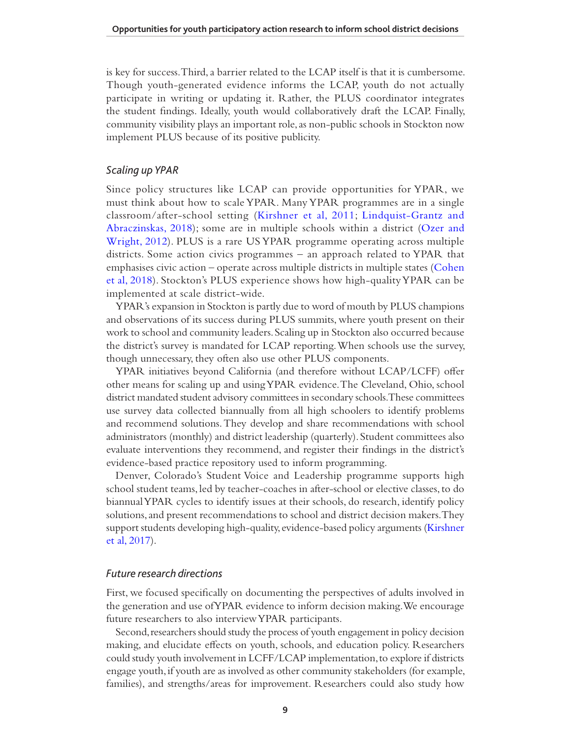is key for success. Third, a barrier related to the LCAP itself is that it is cumbersome. Though youth-generated evidence informs the LCAP, youth do not actually participate in writing or updating it. Rather, the PLUS coordinator integrates the student fndings. Ideally, youth would collaboratively draft the LCAP. Finally, community visibility plays an important role, as non-public schools in Stockton now implement PLUS because of its positive publicity.

#### *Scaling up YPAR*

Since policy structures like LCAP can provide opportunities for YPAR, we must think about how to scale YPAR. Many YPAR programmes are in a single classroom/after-school setting (Kirshner et al, 2011; Lindquist-Grantz and Abraczinskas, 2018); some are in multiple schools within a district (Ozer and Wright, 2012). PLUS is a rare US YPAR programme operating across multiple districts. Some action civics programmes – an approach related to YPAR that emphasises civic action – operate across multiple districts in multiple states (Cohen et al, 2018). Stockton's PLUS experience shows how high-quality YPAR can be implemented at scale district-wide.

YPAR's expansion in Stockton is partly due to word of mouth by PLUS champions and observations of its success during PLUS summits, where youth present on their work to school and community leaders. Scaling up in Stockton also occurred because the district's survey is mandated for LCAP reporting. When schools use the survey, though unnecessary, they often also use other PLUS components.

YPAR initiatives beyond California (and therefore without LCAP/LCFF) offer other means for scaling up and using YPAR evidence. The Cleveland, Ohio, school district mandated student advisory committees in secondary schools. These committees use survey data collected biannually from all high schoolers to identify problems and recommend solutions. They develop and share recommendations with school administrators (monthly) and district leadership (quarterly). Student committees also evaluate interventions they recommend, and register their fndings in the district's evidence-based practice repository used to inform programming.

Denver, Colorado's Student Voice and Leadership programme supports high school student teams, led by teacher-coaches in after-school or elective classes, to do biannual YPAR cycles to identify issues at their schools, do research, identify policy solutions, and present recommendations to school and district decision makers. They support students developing high-quality, evidence-based policy arguments (Kirshner et al, 2017).

# *Future research directions*

First, we focused specifcally on documenting the perspectives of adults involved in the generation and use of YPAR evidence to inform decision making. We encourage future researchers to also interview YPAR participants.

Second, researchers should study the process of youth engagement in policy decision making, and elucidate efects on youth, schools, and education policy. Researchers could study youth involvement in LCFF/LCAP implementation, to explore if districts engage youth, if youth are as involved as other community stakeholders (for example, families), and strengths/areas for improvement. Researchers could also study how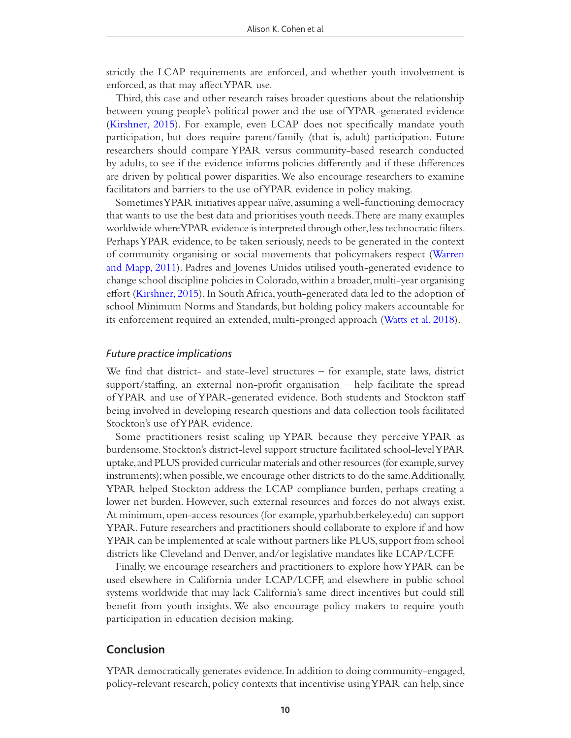strictly the LCAP requirements are enforced, and whether youth involvement is enforced, as that may afect YPAR use.

Third, this case and other research raises broader questions about the relationship between young people's political power and the use of YPAR-generated evidence (Kirshner, 2015). For example, even LCAP does not specifcally mandate youth participation, but does require parent/family (that is, adult) participation. Future researchers should compare YPAR versus community-based research conducted by adults, to see if the evidence informs policies diferently and if these diferences are driven by political power disparities. We also encourage researchers to examine facilitators and barriers to the use of YPAR evidence in policy making.

Sometimes YPAR initiatives appear naïve, assuming a well-functioning democracy that wants to use the best data and prioritises youth needs. There are many examples worldwide where YPAR evidence is interpreted through other, less technocratic flters. Perhaps YPAR evidence, to be taken seriously, needs to be generated in the context of community organising or social movements that policymakers respect (Warren and Mapp, 2011). Padres and Jovenes Unidos utilised youth-generated evidence to change school discipline policies in Colorado, within a broader, multi-year organising efort (Kirshner, 2015). In South Africa, youth-generated data led to the adoption of school Minimum Norms and Standards, but holding policy makers accountable for its enforcement required an extended, multi-pronged approach (Watts et al, 2018).

# *Future practice implications*

We fnd that district- and state-level structures – for example, state laws, district support/stafng, an external non-proft organisation – help facilitate the spread of YPAR and use of YPAR-generated evidence. Both students and Stockton staf being involved in developing research questions and data collection tools facilitated Stockton's use of YPAR evidence.

Some practitioners resist scaling up YPAR because they perceive YPAR as burdensome. Stockton's district-level support structure facilitated school-level YPAR uptake, and PLUS provided curricular materials and other resources (for example, survey instruments); when possible, we encourage other districts to do the same. Additionally, YPAR helped Stockton address the LCAP compliance burden, perhaps creating a lower net burden. However, such external resources and forces do not always exist. At minimum, open-access resources (for example, yparhub.berkeley.edu) can support YPAR. Future researchers and practitioners should collaborate to explore if and how YPAR can be implemented at scale without partners like PLUS, support from school districts like Cleveland and Denver, and/or legislative mandates like LCAP/LCFF.

Finally, we encourage researchers and practitioners to explore how YPAR can be used elsewhere in California under LCAP/LCFF, and elsewhere in public school systems worldwide that may lack California's same direct incentives but could still beneft from youth insights. We also encourage policy makers to require youth participation in education decision making.

# **Conclusion**

YPAR democratically generates evidence. In addition to doing community-engaged, policy-relevant research, policy contexts that incentivise using YPAR can help, since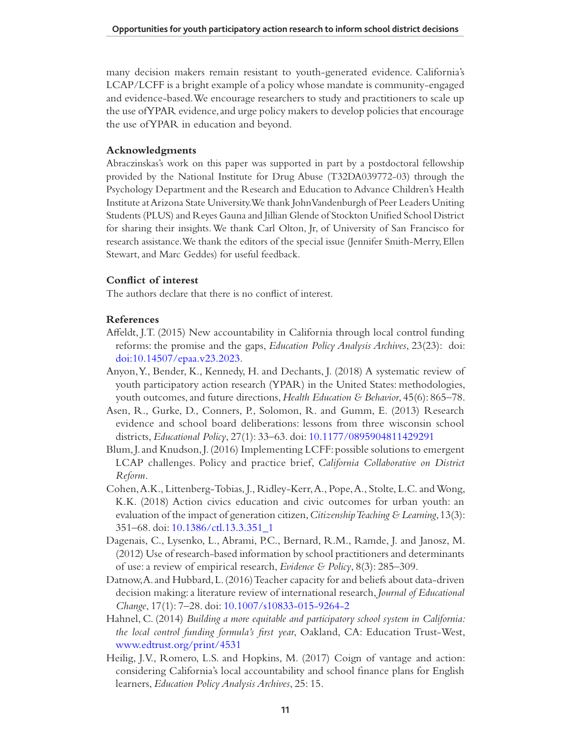many decision makers remain resistant to youth-generated evidence. California's LCAP/LCFF is a bright example of a policy whose mandate is community-engaged and evidence-based. We encourage researchers to study and practitioners to scale up the use of YPAR evidence, and urge policy makers to develop policies that encourage the use of YPAR in education and beyond.

# **Acknowledgments**

Abraczinskas's work on this paper was supported in part by a postdoctoral fellowship provided by the National Institute for Drug Abuse (T32DA039772-03) through the Psychology Department and the Research and Education to Advance Children's Health Institute at Arizona State University. We thank John Vandenburgh of Peer Leaders Uniting Students (PLUS) and Reyes Gauna and Jillian Glende of Stockton Unifed School District for sharing their insights. We thank Carl Olton, Jr, of University of San Francisco for research assistance. We thank the editors of the special issue (Jennifer Smith-Merry, Ellen Stewart, and Marc Geddes) for useful feedback.

# **Confict of interest**

The authors declare that there is no confict of interest.

# **References**

- Afeldt, J.T. (2015) New accountability in California through local control funding reforms: the promise and the gaps, *Education Policy Analysis Archives*, 23(23): doi: doi:10.14507/epaa.v23.2023.
- Anyon, Y., Bender, K., Kennedy, H. and Dechants, J. (2018) A systematic review of youth participatory action research (YPAR) in the United States: methodologies, youth outcomes, and future directions, *Health Education & Behavior*, 45(6): 865–78.
- Asen, R., Gurke, D., Conners, P., Solomon, R. and Gumm, E. (2013) Research evidence and school board deliberations: lessons from three wisconsin school districts, *Educational Policy*, 27(1): 33–63. doi: 10.1177/0895904811429291
- Blum, J. and Knudson, J. (2016) Implementing LCFF: possible solutions to emergent LCAP challenges. Policy and practice brief, *California Collaborative on District Reform*.
- Cohen, A.K., Littenberg-Tobias, J., Ridley-Kerr, A., Pope, A., Stolte, L.C. and Wong, K.K. (2018) Action civics education and civic outcomes for urban youth: an evaluation of the impact of generation citizen, *Citizenship Teaching & Learning*, 13(3): 351–68. doi: 10.1386/ctl.13.3.351\_1
- Dagenais, C., Lysenko, L., Abrami, P.C., Bernard, R.M., Ramde, J. and Janosz, M. (2012) Use of research-based information by school practitioners and determinants of use: a review of empirical research, *Evidence & Policy*, 8(3): 285–309.
- Datnow, A. and Hubbard, L. (2016) Teacher capacity for and beliefs about data-driven decision making: a literature review of international research, *Journal of Educational Change*, 17(1): 7–28. doi: 10.1007/s10833-015-9264-2
- Hahnel, C. (2014) *Building a more equitable and participatory school system in California: the local control funding formula's frst year*, Oakland, CA: Education Trust-West, www.edtrust.org/print/4531
- Heilig, J.V., Romero, L.S. and Hopkins, M. (2017) Coign of vantage and action: considering California's local accountability and school fnance plans for English learners, *Education Policy Analysis Archives*, 25: 15.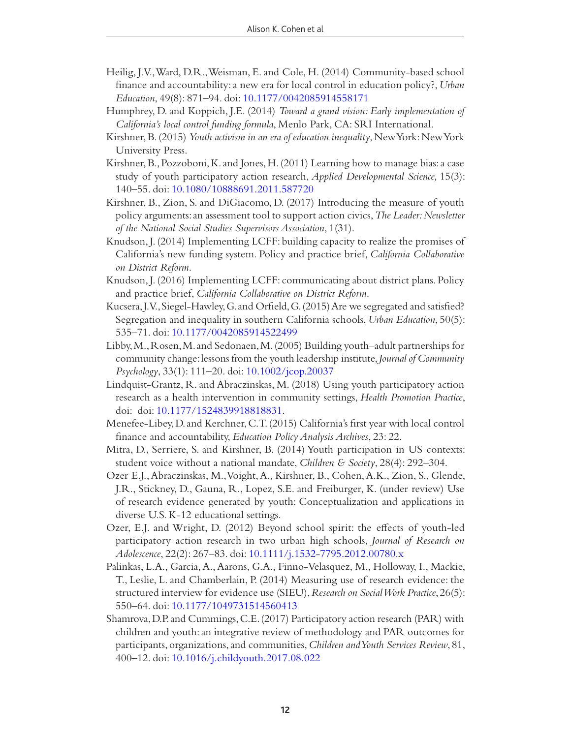- Heilig, J.V., Ward, D.R., Weisman, E. and Cole, H. (2014) Community-based school fnance and accountability: a new era for local control in education policy?, *Urban Education*, 49(8): 871–94. doi: 10.1177/0042085914558171
- Humphrey, D. and Koppich, J.E. (2014) *Toward a grand vision: Early implementation of California's local control funding formula*, Menlo Park, CA: SRI International.
- Kirshner, B. (2015) *Youth activism in an era of education inequality*, New York: New York University Press.
- Kirshner, B., Pozzoboni, K. and Jones, H. (2011) Learning how to manage bias: a case study of youth participatory action research, *Applied Developmental Science,* 15(3): 140–55. doi: 10.1080/10888691.2011.587720
- Kirshner, B., Zion, S. and DiGiacomo, D. (2017) Introducing the measure of youth policy arguments: an assessment tool to support action civics, *The Leader: Newsletter of the National Social Studies Supervisors Association*, 1(31).
- Knudson, J. (2014) Implementing LCFF: building capacity to realize the promises of California's new funding system. Policy and practice brief, *California Collaborative on District Reform*.
- Knudson, J. (2016) Implementing LCFF: communicating about district plans. Policy and practice brief, *California Collaborative on District Reform*.
- Kucsera, J.V., Siegel-Hawley, G. and Orfeld, G. (2015) Are we segregated and satisfed? Segregation and inequality in southern California schools, *Urban Education*, 50(5): 535–71. doi: 10.1177/0042085914522499
- Libby, M., Rosen, M. and Sedonaen, M. (2005) Building youth–adult partnerships for community change: lessons from the youth leadership institute, *Journal of Community Psychology*, 33(1): 111–20. doi: 10.1002/jcop.20037
- Lindquist-Grantz, R. and Abraczinskas, M. (2018) Using youth participatory action research as a health intervention in community settings, *Health Promotion Practice*, doi: doi: 10.1177/1524839918818831.
- Menefee-Libey, D. and Kerchner, C.T. (2015) California's frst year with local control fnance and accountability, *Education Policy Analysis Archives*, 23: 22.
- Mitra, D., Serriere, S. and Kirshner, B. (2014) Youth participation in US contexts: student voice without a national mandate, *Children & Society*, 28(4): 292–304.
- Ozer E.J., Abraczinskas, M., Voight, A., Kirshner, B., Cohen, A.K., Zion, S., Glende, J.R., Stickney, D., Gauna, R., Lopez, S.E. and Freiburger, K. (under review) Use of research evidence generated by youth: Conceptualization and applications in diverse U.S. K-12 educational settings.
- Ozer, E.J. and Wright, D. (2012) Beyond school spirit: the efects of youth-led participatory action research in two urban high schools, *Journal of Research on Adolescence*, 22(2): 267–83. doi: 10.1111/j.1532-7795.2012.00780.x
- Palinkas, L.A., Garcia, A., Aarons, G.A., Finno-Velasquez, M., Holloway, I., Mackie, T., Leslie, L. and Chamberlain, P. (2014) Measuring use of research evidence: the structured interview for evidence use (SIEU), *Research on Social Work Practice*, 26(5): 550–64. doi: 10.1177/1049731514560413
- Shamrova, D.P. and Cummings, C.E. (2017) Participatory action research (PAR) with children and youth: an integrative review of methodology and PAR outcomes for participants, organizations, and communities, *Children and Youth Services Review*, 81, 400–12. doi: 10.1016/j.childyouth.2017.08.022